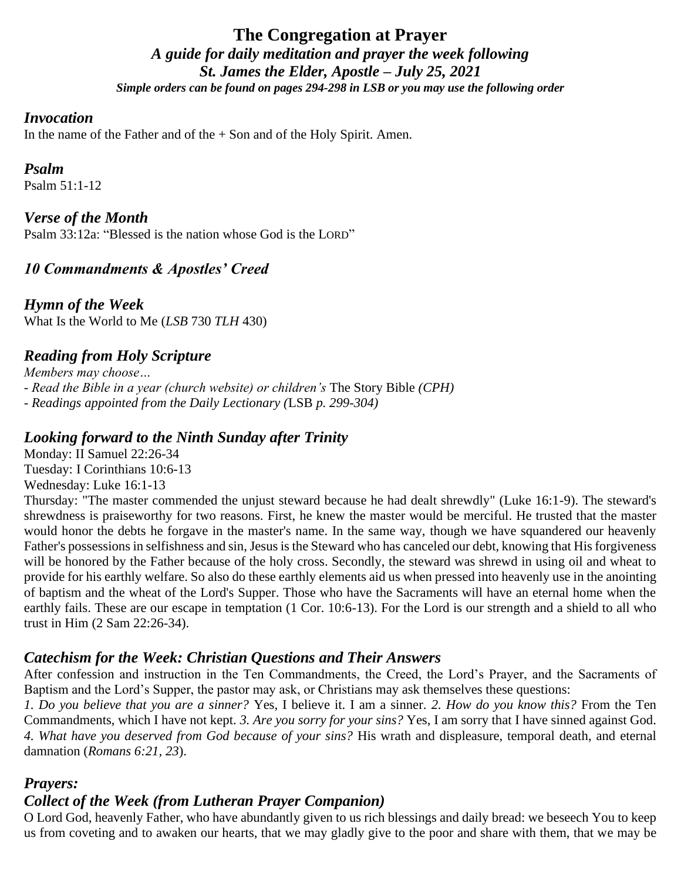### **The Congregation at Prayer** *A guide for daily meditation and prayer the week following St. James the Elder, Apostle – July 25, 2021 Simple orders can be found on pages 294-298 in LSB or you may use the following order*

#### *Invocation*

In the name of the Father and of the  $+$  Son and of the Holy Spirit. Amen.

#### *Psalm*

Psalm 51:1-12

### *Verse of the Month*

Psalm 33:12a: "Blessed is the nation whose God is the LORD"

### *10 Commandments & Apostles' Creed*

*Hymn of the Week* What Is the World to Me (*LSB* 730 *TLH* 430)

### *Reading from Holy Scripture*

*Members may choose… - Read the Bible in a year (church website) or children's* The Story Bible *(CPH) - Readings appointed from the Daily Lectionary (*LSB *p. 299-304)*

### *Looking forward to the Ninth Sunday after Trinity*

Monday: II Samuel 22:26-34 Tuesday: I Corinthians 10:6-13 Wednesday: Luke 16:1-13

Thursday: "The master commended the unjust steward because he had dealt shrewdly" (Luke 16:1-9). The steward's shrewdness is praiseworthy for two reasons. First, he knew the master would be merciful. He trusted that the master would honor the debts he forgave in the master's name. In the same way, though we have squandered our heavenly Father's possessions in selfishness and sin, Jesus is the Steward who has canceled our debt, knowing that His forgiveness will be honored by the Father because of the holy cross. Secondly, the steward was shrewd in using oil and wheat to provide for his earthly welfare. So also do these earthly elements aid us when pressed into heavenly use in the anointing of baptism and the wheat of the Lord's Supper. Those who have the Sacraments will have an eternal home when the earthly fails. These are our escape in temptation (1 Cor. 10:6-13). For the Lord is our strength and a shield to all who trust in Him (2 Sam 22:26-34).

### *Catechism for the Week: Christian Questions and Their Answers*

After confession and instruction in the Ten Commandments, the Creed, the Lord's Prayer, and the Sacraments of Baptism and the Lord's Supper, the pastor may ask, or Christians may ask themselves these questions:

*1. Do you believe that you are a sinner?* Yes, I believe it. I am a sinner. *2. How do you know this?* From the Ten Commandments, which I have not kept. *3. Are you sorry for your sins?* Yes, I am sorry that I have sinned against God. *4. What have you deserved from God because of your sins?* His wrath and displeasure, temporal death, and eternal damnation (*Romans 6:21, 23*).

### *Prayers:*

### *Collect of the Week (from Lutheran Prayer Companion)*

O Lord God, heavenly Father, who have abundantly given to us rich blessings and daily bread: we beseech You to keep us from coveting and to awaken our hearts, that we may gladly give to the poor and share with them, that we may be